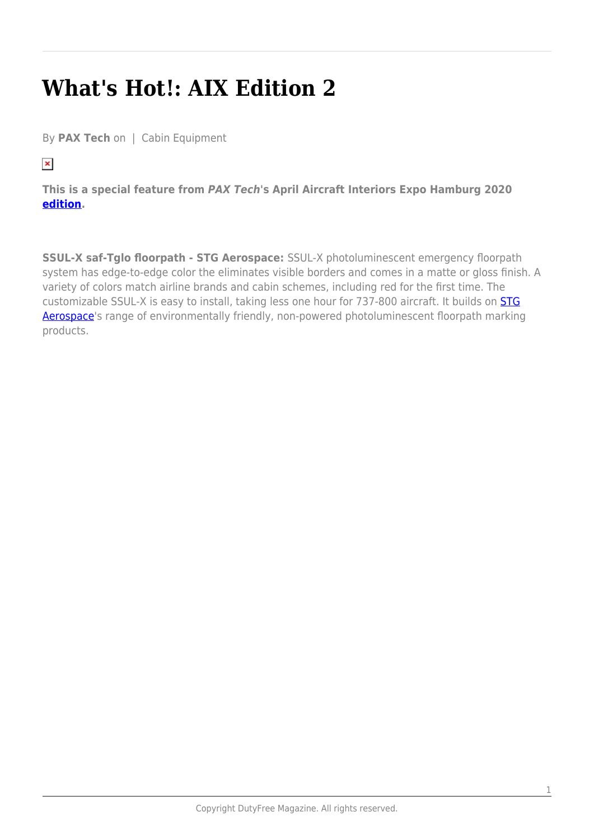## **What's Hot!: AIX Edition 2**

By **PAX Tech** on | Cabin Equipment

 $\pmb{\times}$ 

**This is a special feature from** *PAX Tech***'s April Aircraft Interiors Expo Hamburg 2020 [edition.](https://issuu.com/globalmarketingcompany/docs/paxtech_aix_march2020-issuu?fr=sYmY3NzQ2NjE)**

**SSUL-X saf-Tglo floorpath - STG Aerospace:** SSUL-X photoluminescent emergency floorpath system has edge-to-edge color the eliminates visible borders and comes in a matte or gloss finish. A variety of colors match airline brands and cabin schemes, including red for the first time. The customizable SSUL-X is easy to install, taking less one hour for 737-800 aircraft. It builds on [STG](https://www.stgaerospace.com/) [Aerospace](https://www.stgaerospace.com/)'s range of environmentally friendly, non-powered photoluminescent floorpath marking products.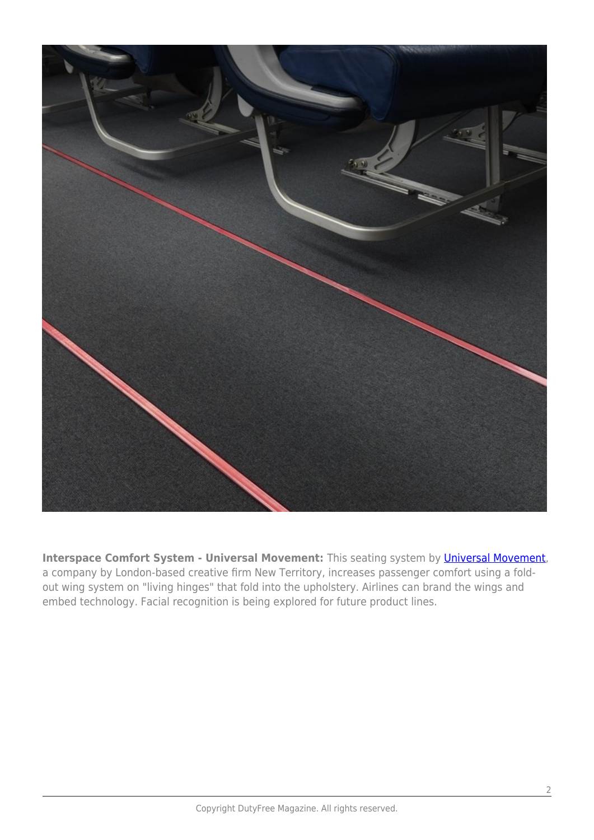

**Interspace Comfort System - Universal Movement:** This seating system by **Universal Movement**, a company by London-based creative firm New Territory, increases passenger comfort using a foldout wing system on "living hinges" that fold into the upholstery. Airlines can brand the wings and embed technology. Facial recognition is being explored for future product lines.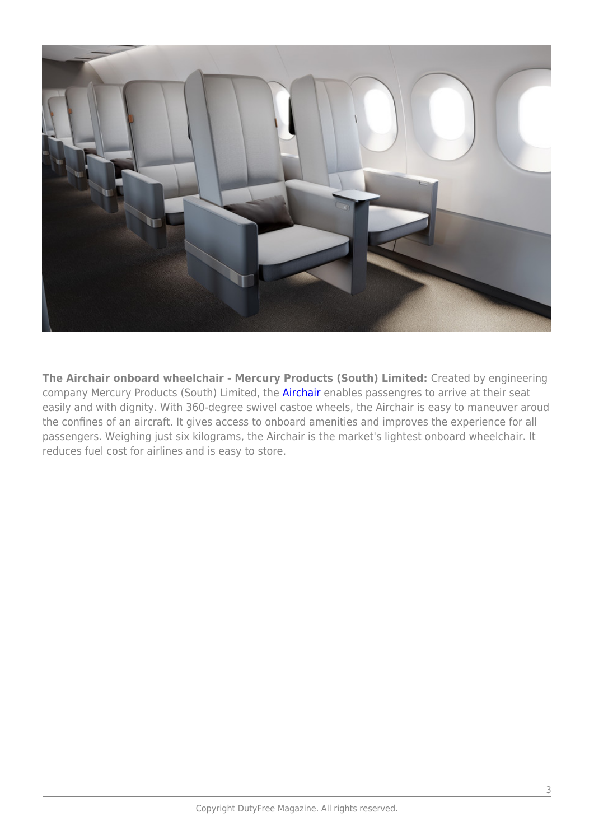

**The Airchair onboard wheelchair - Mercury Products (South) Limited:** Created by engineering company Mercury Products (South) Limited, the **Airchair** enables passengres to arrive at their seat easily and with dignity. With 360-degree swivel castoe wheels, the Airchair is easy to maneuver aroud the confines of an aircraft. It gives access to onboard amenities and improves the experience for all passengers. Weighing just six kilograms, the Airchair is the market's lightest onboard wheelchair. It reduces fuel cost for airlines and is easy to store.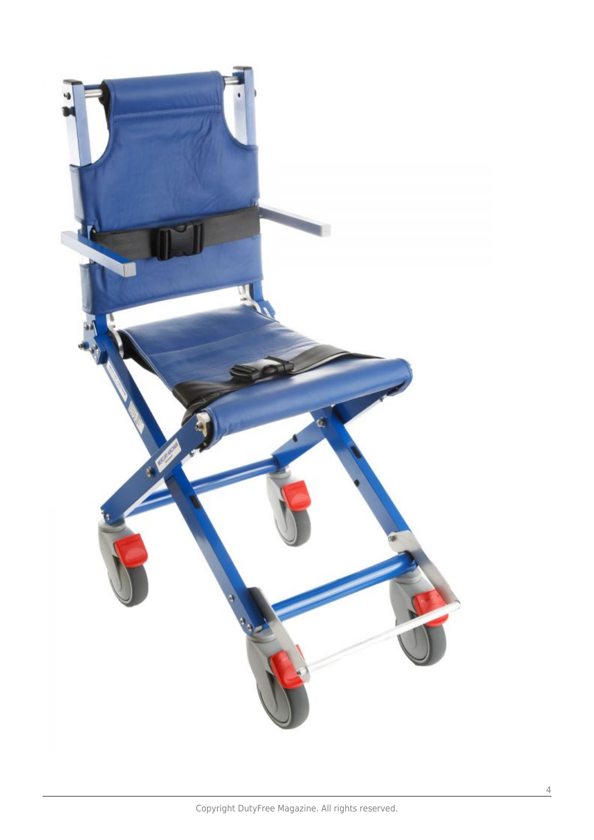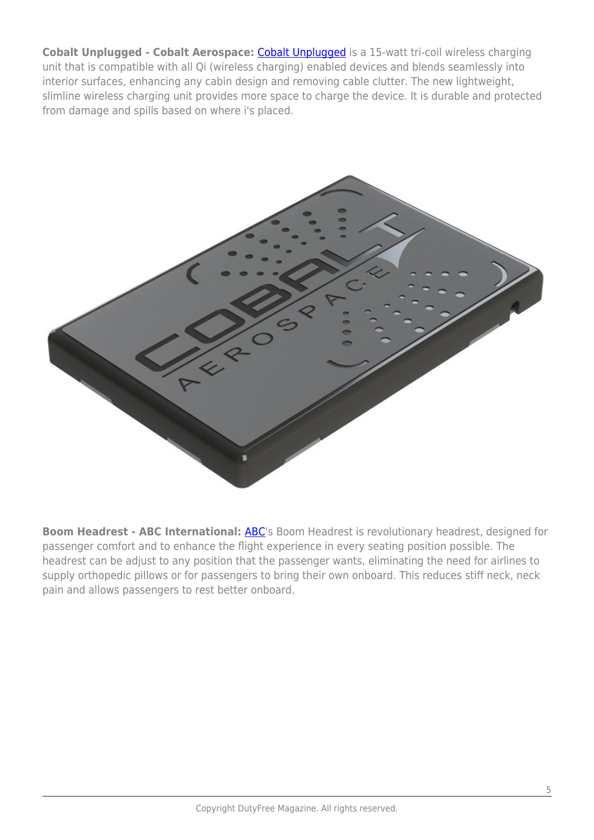**Cobalt Unplugged - Cobalt Aerospace:** [Cobalt Unplugged](https://www.cobaltaerospace.com/) is a 15-watt tri-coil wireless charging unit that is compatible with all Qi (wireless charging) enabled devices and blends seamlessly into interior surfaces, enhancing any cabin design and removing cable clutter. The new lightweight, slimline wireless charging unit provides more space to charge the device. It is durable and protected from damage and spills based on where i's placed.



**Boom Headrest - [ABC](https://www.abc-int.it/) International: ABC's Boom Headrest is revolutionary headrest, designed for** passenger comfort and to enhance the flight experience in every seating position possible. The headrest can be adjust to any position that the passenger wants, eliminating the need for airlines to supply orthopedic pillows or for passengers to bring their own onboard. This reduces stiff neck, neck pain and allows passengers to rest better onboard.